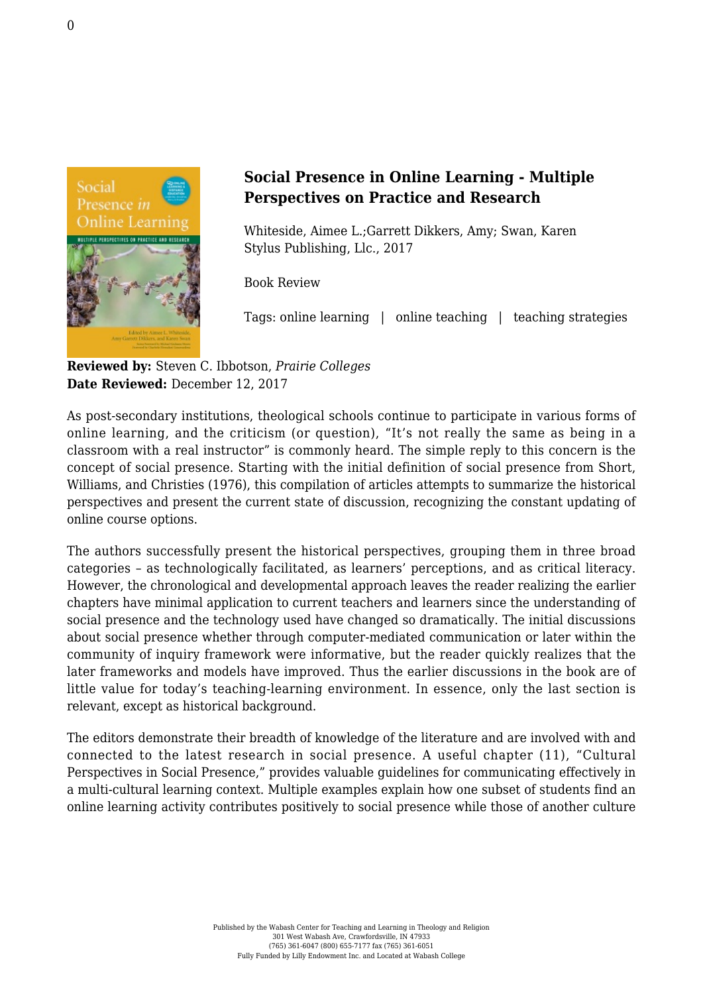

## **Social Presence in Online Learning - Multiple Perspectives on Practice and Research**

Whiteside, Aimee L.;Garrett Dikkers, Amy; Swan, Karen [Stylus Publishing, Llc., 2017](https://sty.presswarehouse.com/books/BookDetail.aspx?productID=480269)

Book Review

Tags: online learning | online teaching | teaching strategies

**Reviewed by:** Steven C. Ibbotson, *Prairie Colleges* **Date Reviewed:** December 12, 2017

As post-secondary institutions, theological schools continue to participate in various forms of online learning, and the criticism (or question), "It's not really the same as being in a classroom with a real instructor" is commonly heard. The simple reply to this concern is the concept of social presence. Starting with the initial definition of social presence from Short, Williams, and Christies (1976), this compilation of articles attempts to summarize the historical perspectives and present the current state of discussion, recognizing the constant updating of online course options.

The authors successfully present the historical perspectives, grouping them in three broad categories – as technologically facilitated, as learners' perceptions, and as critical literacy. However, the chronological and developmental approach leaves the reader realizing the earlier chapters have minimal application to current teachers and learners since the understanding of social presence and the technology used have changed so dramatically. The initial discussions about social presence whether through computer-mediated communication or later within the community of inquiry framework were informative, but the reader quickly realizes that the later frameworks and models have improved. Thus the earlier discussions in the book are of little value for today's teaching-learning environment. In essence, only the last section is relevant, except as historical background.

The editors demonstrate their breadth of knowledge of the literature and are involved with and connected to the latest research in social presence. A useful chapter (11), "Cultural Perspectives in Social Presence," provides valuable guidelines for communicating effectively in a multi-cultural learning context. Multiple examples explain how one subset of students find an online learning activity contributes positively to social presence while those of another culture